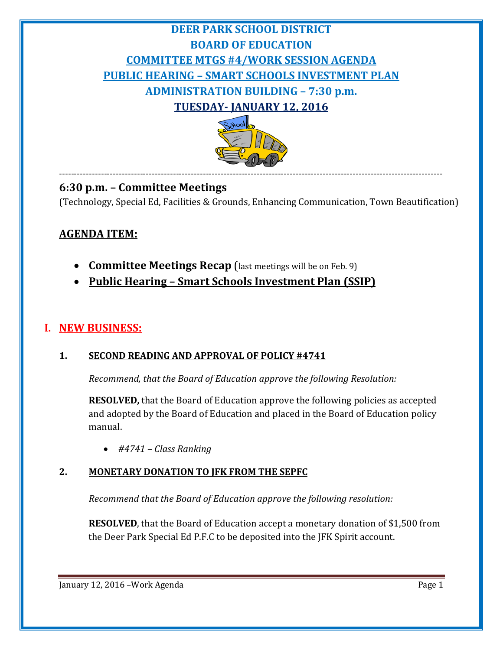# **DEER PARK SCHOOL DISTRICT BOARD OF EDUCATION COMMITTEE MTGS #4/WORK SESSION AGENDA PUBLIC HEARING – SMART SCHOOLS INVESTMENT PLAN ADMINISTRATION BUILDING – 7:30 p.m. TUESDAY- JANUARY 12, 2016**



--------------------------------------------------------------------------------------------------------------------------------

# **6:30 p.m. – Committee Meetings**

(Technology, Special Ed, Facilities & Grounds, Enhancing Communication, Town Beautification)

# **AGENDA ITEM:**

- **Committee Meetings Recap** (last meetings will be on Feb. 9)
- **Public Hearing – Smart Schools Investment Plan (SSIP)**

# **I. NEW BUSINESS:**

#### **1. SECOND READING AND APPROVAL OF POLICY #4741**

*Recommend, that the Board of Education approve the following Resolution:*

**RESOLVED,** that the Board of Education approve the following policies as accepted and adopted by the Board of Education and placed in the Board of Education policy manual.

• *#4741 – Class Ranking*

#### **2. MONETARY DONATION TO JFK FROM THE SEPFC**

*Recommend that the Board of Education approve the following resolution:*

**RESOLVED**, that the Board of Education accept a monetary donation of \$1,500 from the Deer Park Special Ed P.F.C to be deposited into the JFK Spirit account.

January 12, 2016 – Work Agenda Page 1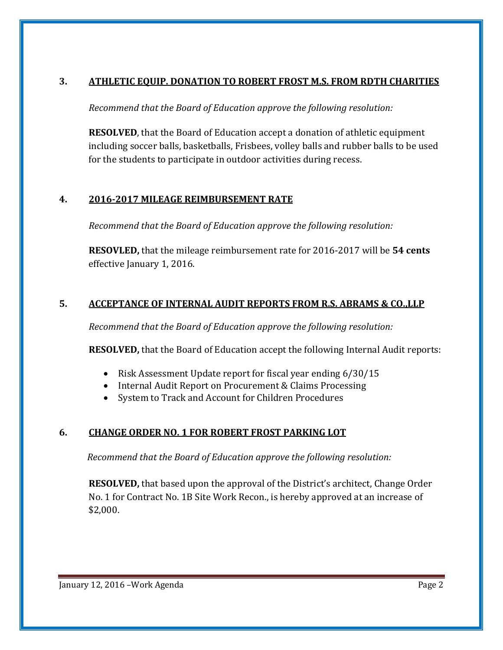#### **3. ATHLETIC EQUIP. DONATION TO ROBERT FROST M.S. FROM RDTH CHARITIES**

*Recommend that the Board of Education approve the following resolution:*

**RESOLVED**, that the Board of Education accept a donation of athletic equipment including soccer balls, basketballs, Frisbees, volley balls and rubber balls to be used for the students to participate in outdoor activities during recess.

# **4. 2016-2017 MILEAGE REIMBURSEMENT RATE**

*Recommend that the Board of Education approve the following resolution:*

**RESOVLED,** that the mileage reimbursement rate for 2016-2017 will be **54 cents** effective January 1, 2016.

# **5. ACCEPTANCE OF INTERNAL AUDIT REPORTS FROM R.S. ABRAMS & CO.,LLP**

*Recommend that the Board of Education approve the following resolution:*

**RESOLVED,** that the Board of Education accept the following Internal Audit reports:

- Risk Assessment Update report for fiscal year ending 6/30/15
- Internal Audit Report on Procurement & Claims Processing
- System to Track and Account for Children Procedures

# **6. CHANGE ORDER NO. 1 FOR ROBERT FROST PARKING LOT**

*Recommend that the Board of Education approve the following resolution:*

**RESOLVED,** that based upon the approval of the District's architect, Change Order No. 1 for Contract No. 1B Site Work Recon., is hereby approved at an increase of \$2,000.